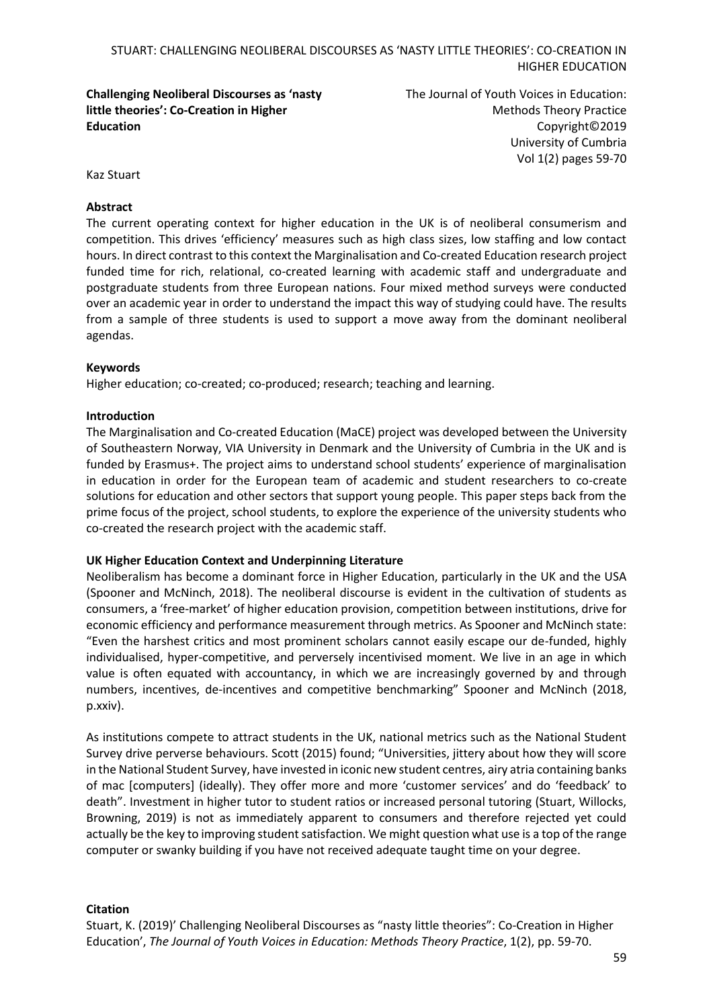# **Challenging Neoliberal Discourses as 'nasty little theories': Co-Creation in Higher Education**

The Journal of Youth Voices in Education: Methods Theory Practice Copyright©2019 University of Cumbria Vol 1(2) pages 59-70

Kaz Stuart

### **Abstract**

The current operating context for higher education in the UK is of neoliberal consumerism and competition. This drives 'efficiency' measures such as high class sizes, low staffing and low contact hours. In direct contrast to this context the Marginalisation and Co-created Education research project funded time for rich, relational, co-created learning with academic staff and undergraduate and postgraduate students from three European nations. Four mixed method surveys were conducted over an academic year in order to understand the impact this way of studying could have. The results from a sample of three students is used to support a move away from the dominant neoliberal agendas.

### **Keywords**

Higher education; co-created; co-produced; research; teaching and learning.

### **Introduction**

The Marginalisation and Co-created Education (MaCE) project was developed between the University of Southeastern Norway, VIA University in Denmark and the University of Cumbria in the UK and is funded by Erasmus+. The project aims to understand school students' experience of marginalisation in education in order for the European team of academic and student researchers to co-create solutions for education and other sectors that support young people. This paper steps back from the prime focus of the project, school students, to explore the experience of the university students who co-created the research project with the academic staff.

#### **UK Higher Education Context and Underpinning Literature**

Neoliberalism has become a dominant force in Higher Education, particularly in the UK and the USA (Spooner and McNinch, 2018). The neoliberal discourse is evident in the cultivation of students as consumers, a 'free-market' of higher education provision, competition between institutions, drive for economic efficiency and performance measurement through metrics. As Spooner and McNinch state: "Even the harshest critics and most prominent scholars cannot easily escape our de-funded, highly individualised, hyper-competitive, and perversely incentivised moment. We live in an age in which value is often equated with accountancy, in which we are increasingly governed by and through numbers, incentives, de-incentives and competitive benchmarking" Spooner and McNinch (2018, p.xxiv).

As institutions compete to attract students in the UK, national metrics such as the National Student Survey drive perverse behaviours. Scott (2015) found; "Universities, jittery about how they will score in the National Student Survey, have invested in iconic new student centres, airy atria containing banks of mac [computers] (ideally). They offer more and more 'customer services' and do 'feedback' to death". Investment in higher tutor to student ratios or increased personal tutoring (Stuart, Willocks, Browning, 2019) is not as immediately apparent to consumers and therefore rejected yet could actually be the key to improving student satisfaction. We might question what use is a top of the range computer or swanky building if you have not received adequate taught time on your degree.

# **Citation**

Stuart, K. (2019)' Challenging Neoliberal Discourses as "nasty little theories": Co-Creation in Higher Education', *The Journal of Youth Voices in Education: Methods Theory Practice*, 1(2), pp. 59-70.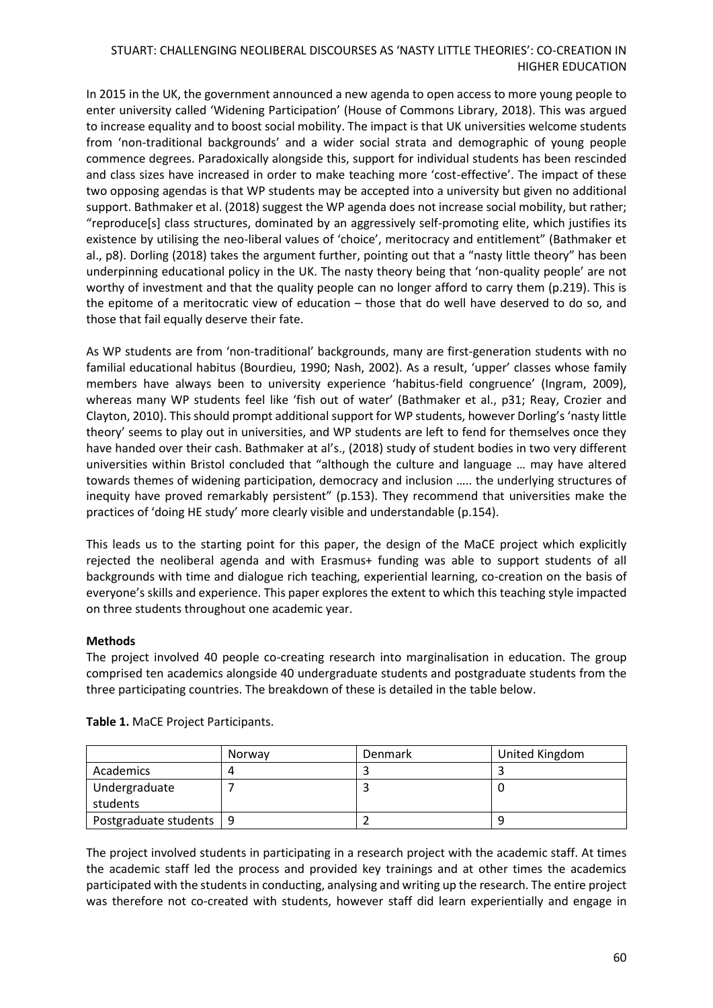In 2015 in the UK, the government announced a new agenda to open access to more young people to enter university called 'Widening Participation' (House of Commons Library, 2018). This was argued to increase equality and to boost social mobility. The impact is that UK universities welcome students from 'non-traditional backgrounds' and a wider social strata and demographic of young people commence degrees. Paradoxically alongside this, support for individual students has been rescinded and class sizes have increased in order to make teaching more 'cost-effective'. The impact of these two opposing agendas is that WP students may be accepted into a university but given no additional support. Bathmaker et al. (2018) suggest the WP agenda does not increase social mobility, but rather; "reproduce[s] class structures, dominated by an aggressively self-promoting elite, which justifies its existence by utilising the neo-liberal values of 'choice', meritocracy and entitlement" (Bathmaker et al., p8). Dorling (2018) takes the argument further, pointing out that a "nasty little theory" has been underpinning educational policy in the UK. The nasty theory being that 'non-quality people' are not worthy of investment and that the quality people can no longer afford to carry them (p.219). This is the epitome of a meritocratic view of education – those that do well have deserved to do so, and those that fail equally deserve their fate.

As WP students are from 'non-traditional' backgrounds, many are first-generation students with no familial educational habitus (Bourdieu, 1990; Nash, 2002). As a result, 'upper' classes whose family members have always been to university experience 'habitus-field congruence' (Ingram, 2009), whereas many WP students feel like 'fish out of water' (Bathmaker et al., p31; Reay, Crozier and Clayton, 2010). This should prompt additional support for WP students, however Dorling's 'nasty little theory' seems to play out in universities, and WP students are left to fend for themselves once they have handed over their cash. Bathmaker at al's., (2018) study of student bodies in two very different universities within Bristol concluded that "although the culture and language … may have altered towards themes of widening participation, democracy and inclusion ….. the underlying structures of inequity have proved remarkably persistent" (p.153). They recommend that universities make the practices of 'doing HE study' more clearly visible and understandable (p.154).

This leads us to the starting point for this paper, the design of the MaCE project which explicitly rejected the neoliberal agenda and with Erasmus+ funding was able to support students of all backgrounds with time and dialogue rich teaching, experiential learning, co-creation on the basis of everyone's skills and experience. This paper explores the extent to which this teaching style impacted on three students throughout one academic year.

# **Methods**

The project involved 40 people co-creating research into marginalisation in education. The group comprised ten academics alongside 40 undergraduate students and postgraduate students from the three participating countries. The breakdown of these is detailed in the table below.

|                           | Norway | <b>Denmark</b> | United Kingdom |
|---------------------------|--------|----------------|----------------|
| Academics                 |        |                |                |
| Undergraduate             |        |                |                |
| students                  |        |                |                |
| Postgraduate students   9 |        |                |                |

**Table 1.** MaCE Project Participants.

The project involved students in participating in a research project with the academic staff. At times the academic staff led the process and provided key trainings and at other times the academics participated with the students in conducting, analysing and writing up the research. The entire project was therefore not co-created with students, however staff did learn experientially and engage in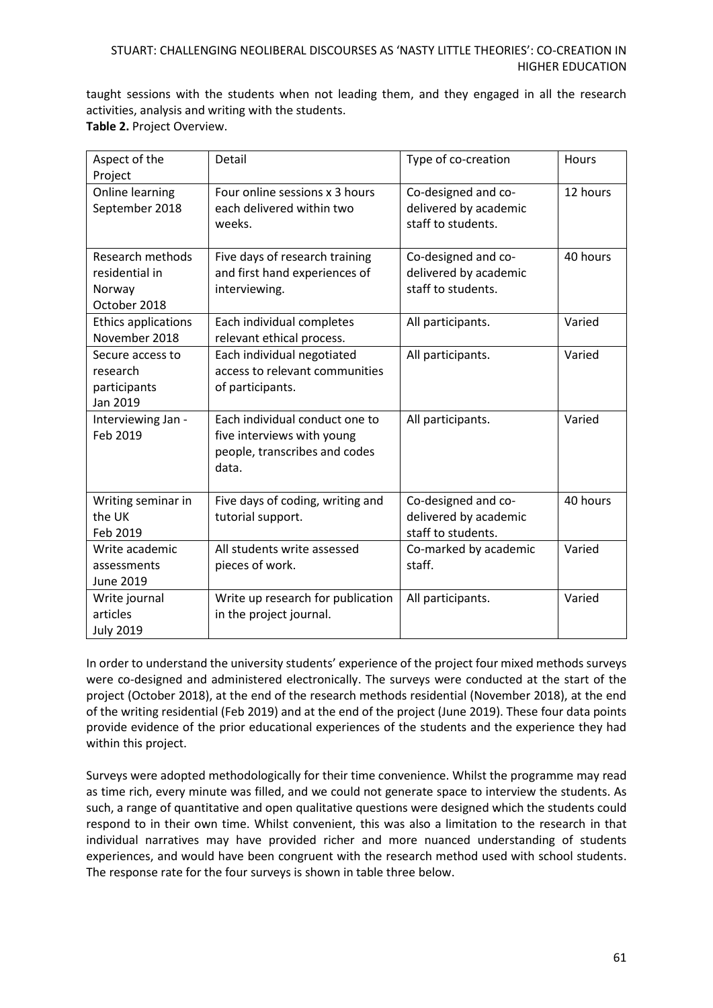taught sessions with the students when not leading them, and they engaged in all the research activities, analysis and writing with the students. **Table 2.** Project Overview.

| Aspect of the<br>Project                                     | Detail                                                                                                 | Type of co-creation                                                | Hours    |
|--------------------------------------------------------------|--------------------------------------------------------------------------------------------------------|--------------------------------------------------------------------|----------|
| Online learning<br>September 2018                            | Four online sessions x 3 hours<br>each delivered within two<br>weeks.                                  | Co-designed and co-<br>delivered by academic<br>staff to students. | 12 hours |
| Research methods<br>residential in<br>Norway<br>October 2018 | Five days of research training<br>and first hand experiences of<br>interviewing.                       | Co-designed and co-<br>delivered by academic<br>staff to students. | 40 hours |
| <b>Ethics applications</b><br>November 2018                  | Each individual completes<br>relevant ethical process.                                                 | All participants.                                                  | Varied   |
| Secure access to<br>research<br>participants<br>Jan 2019     | Each individual negotiated<br>access to relevant communities<br>of participants.                       | All participants.                                                  | Varied   |
| Interviewing Jan -<br>Feb 2019                               | Each individual conduct one to<br>five interviews with young<br>people, transcribes and codes<br>data. | All participants.                                                  | Varied   |
| Writing seminar in<br>the UK<br>Feb 2019                     | Five days of coding, writing and<br>tutorial support.                                                  | Co-designed and co-<br>delivered by academic<br>staff to students. | 40 hours |
| Write academic<br>assessments<br>June 2019                   | All students write assessed<br>pieces of work.                                                         | Co-marked by academic<br>staff.                                    | Varied   |
| Write journal<br>articles<br><b>July 2019</b>                | Write up research for publication<br>in the project journal.                                           | All participants.                                                  | Varied   |

In order to understand the university students' experience of the project four mixed methods surveys were co-designed and administered electronically. The surveys were conducted at the start of the project (October 2018), at the end of the research methods residential (November 2018), at the end of the writing residential (Feb 2019) and at the end of the project (June 2019). These four data points provide evidence of the prior educational experiences of the students and the experience they had within this project.

Surveys were adopted methodologically for their time convenience. Whilst the programme may read as time rich, every minute was filled, and we could not generate space to interview the students. As such, a range of quantitative and open qualitative questions were designed which the students could respond to in their own time. Whilst convenient, this was also a limitation to the research in that individual narratives may have provided richer and more nuanced understanding of students experiences, and would have been congruent with the research method used with school students. The response rate for the four surveys is shown in table three below.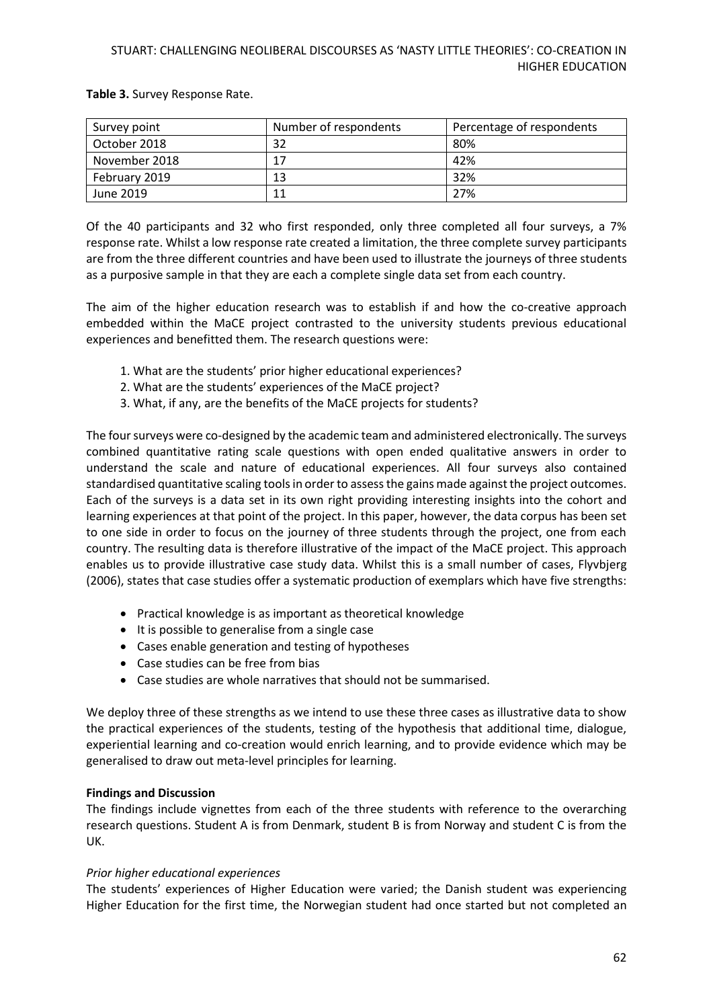**Table 3.** Survey Response Rate.

| Survey point  | Number of respondents | Percentage of respondents |
|---------------|-----------------------|---------------------------|
| October 2018  | 32                    | 80%                       |
| November 2018 | 17                    | 42%                       |
| February 2019 | 13                    | 32%                       |
| June 2019     | 11                    | 27%                       |

Of the 40 participants and 32 who first responded, only three completed all four surveys, a 7% response rate. Whilst a low response rate created a limitation, the three complete survey participants are from the three different countries and have been used to illustrate the journeys of three students as a purposive sample in that they are each a complete single data set from each country.

The aim of the higher education research was to establish if and how the co-creative approach embedded within the MaCE project contrasted to the university students previous educational experiences and benefitted them. The research questions were:

- 1. What are the students' prior higher educational experiences?
- 2. What are the students' experiences of the MaCE project?
- 3. What, if any, are the benefits of the MaCE projects for students?

The four surveys were co-designed by the academic team and administered electronically. The surveys combined quantitative rating scale questions with open ended qualitative answers in order to understand the scale and nature of educational experiences. All four surveys also contained standardised quantitative scaling tools in order to assess the gains made against the project outcomes. Each of the surveys is a data set in its own right providing interesting insights into the cohort and learning experiences at that point of the project. In this paper, however, the data corpus has been set to one side in order to focus on the journey of three students through the project, one from each country. The resulting data is therefore illustrative of the impact of the MaCE project. This approach enables us to provide illustrative case study data. Whilst this is a small number of cases, Flyvbjerg (2006), states that case studies offer a systematic production of exemplars which have five strengths:

- Practical knowledge is as important as theoretical knowledge
- It is possible to generalise from a single case
- Cases enable generation and testing of hypotheses
- Case studies can be free from bias
- Case studies are whole narratives that should not be summarised.

We deploy three of these strengths as we intend to use these three cases as illustrative data to show the practical experiences of the students, testing of the hypothesis that additional time, dialogue, experiential learning and co-creation would enrich learning, and to provide evidence which may be generalised to draw out meta-level principles for learning.

#### **Findings and Discussion**

The findings include vignettes from each of the three students with reference to the overarching research questions. Student A is from Denmark, student B is from Norway and student C is from the UK.

#### *Prior higher educational experiences*

The students' experiences of Higher Education were varied; the Danish student was experiencing Higher Education for the first time, the Norwegian student had once started but not completed an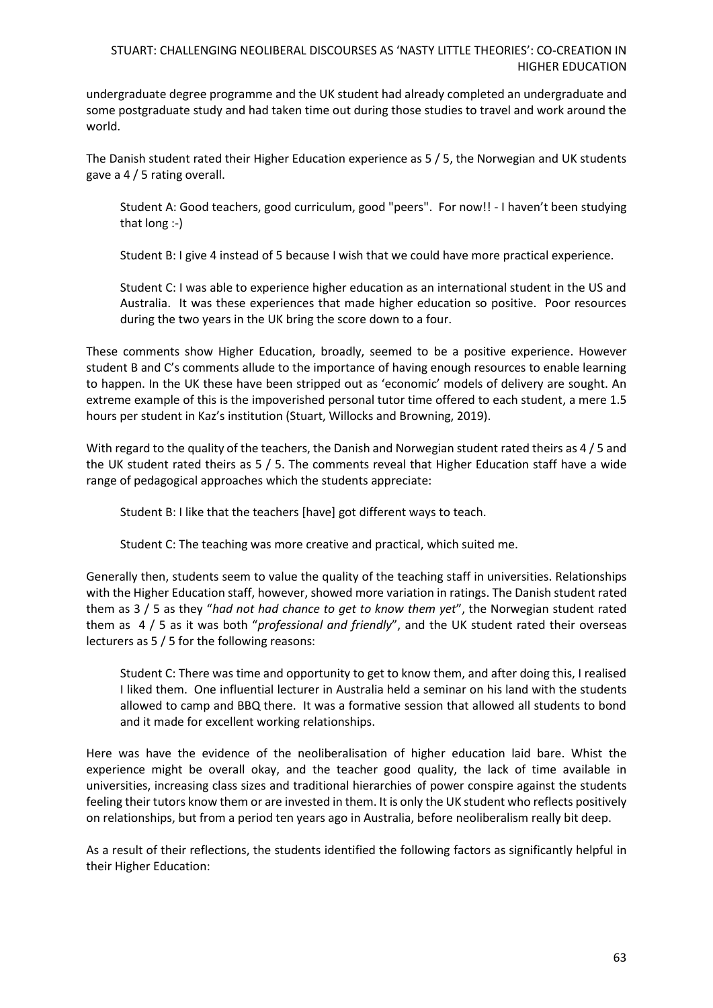undergraduate degree programme and the UK student had already completed an undergraduate and some postgraduate study and had taken time out during those studies to travel and work around the world.

The Danish student rated their Higher Education experience as 5 / 5, the Norwegian and UK students gave a 4 / 5 rating overall.

Student A: Good teachers, good curriculum, good "peers". For now!! - I haven't been studying that long :-)

Student B: I give 4 instead of 5 because I wish that we could have more practical experience.

Student C: I was able to experience higher education as an international student in the US and Australia. It was these experiences that made higher education so positive. Poor resources during the two years in the UK bring the score down to a four.

These comments show Higher Education, broadly, seemed to be a positive experience. However student B and C's comments allude to the importance of having enough resources to enable learning to happen. In the UK these have been stripped out as 'economic' models of delivery are sought. An extreme example of this is the impoverished personal tutor time offered to each student, a mere 1.5 hours per student in Kaz's institution (Stuart, Willocks and Browning, 2019).

With regard to the quality of the teachers, the Danish and Norwegian student rated theirs as 4 / 5 and the UK student rated theirs as 5 / 5. The comments reveal that Higher Education staff have a wide range of pedagogical approaches which the students appreciate:

Student B: I like that the teachers [have] got different ways to teach.

Student C: The teaching was more creative and practical, which suited me.

Generally then, students seem to value the quality of the teaching staff in universities. Relationships with the Higher Education staff, however, showed more variation in ratings. The Danish student rated them as 3 / 5 as they "*had not had chance to get to know them yet*", the Norwegian student rated them as 4 / 5 as it was both "*professional and friendly*", and the UK student rated their overseas lecturers as 5 / 5 for the following reasons:

Student C: There was time and opportunity to get to know them, and after doing this, I realised I liked them. One influential lecturer in Australia held a seminar on his land with the students allowed to camp and BBQ there. It was a formative session that allowed all students to bond and it made for excellent working relationships.

Here was have the evidence of the neoliberalisation of higher education laid bare. Whist the experience might be overall okay, and the teacher good quality, the lack of time available in universities, increasing class sizes and traditional hierarchies of power conspire against the students feeling their tutors know them or are invested in them. It is only the UK student who reflects positively on relationships, but from a period ten years ago in Australia, before neoliberalism really bit deep.

As a result of their reflections, the students identified the following factors as significantly helpful in their Higher Education: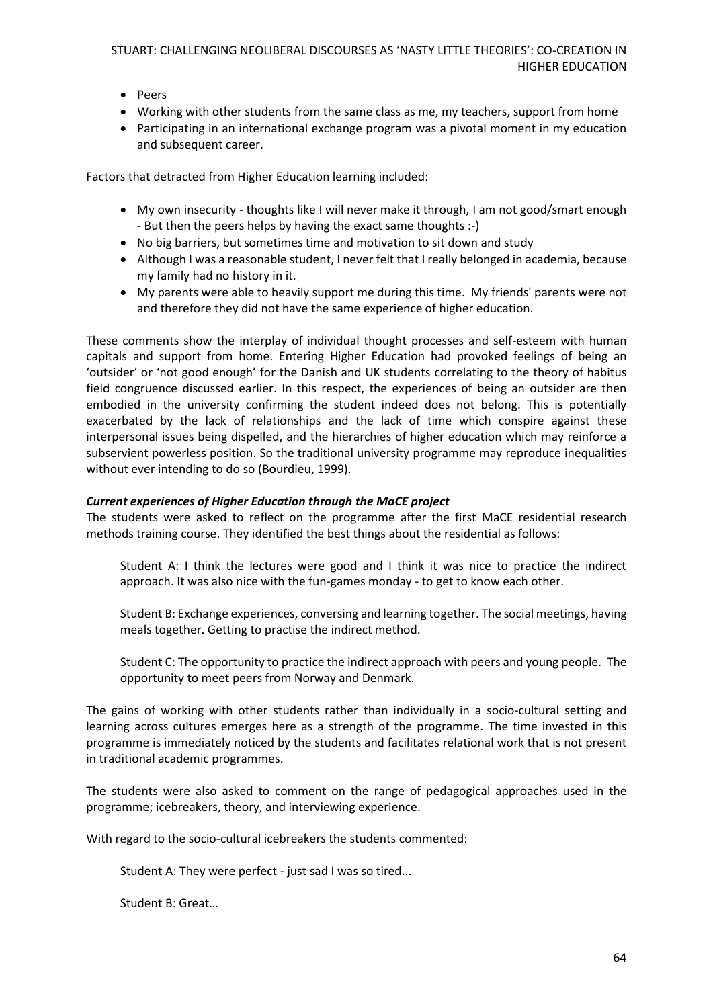- Peers
- Working with other students from the same class as me, my teachers, support from home
- Participating in an international exchange program was a pivotal moment in my education and subsequent career.

Factors that detracted from Higher Education learning included:

- My own insecurity thoughts like I will never make it through, I am not good/smart enough - But then the peers helps by having the exact same thoughts :-)
- No big barriers, but sometimes time and motivation to sit down and study
- Although I was a reasonable student, I never felt that I really belonged in academia, because my family had no history in it.
- My parents were able to heavily support me during this time. My friends' parents were not and therefore they did not have the same experience of higher education.

These comments show the interplay of individual thought processes and self-esteem with human capitals and support from home. Entering Higher Education had provoked feelings of being an 'outsider' or 'not good enough' for the Danish and UK students correlating to the theory of habitus field congruence discussed earlier. In this respect, the experiences of being an outsider are then embodied in the university confirming the student indeed does not belong. This is potentially exacerbated by the lack of relationships and the lack of time which conspire against these interpersonal issues being dispelled, and the hierarchies of higher education which may reinforce a subservient powerless position. So the traditional university programme may reproduce inequalities without ever intending to do so (Bourdieu, 1999).

### *Current experiences of Higher Education through the MaCE project*

The students were asked to reflect on the programme after the first MaCE residential research methods training course. They identified the best things about the residential as follows:

Student A: I think the lectures were good and I think it was nice to practice the indirect approach. It was also nice with the fun-games monday - to get to know each other.

Student B: Exchange experiences, conversing and learning together. The social meetings, having meals together. Getting to practise the indirect method.

Student C: The opportunity to practice the indirect approach with peers and young people. The opportunity to meet peers from Norway and Denmark.

The gains of working with other students rather than individually in a socio-cultural setting and learning across cultures emerges here as a strength of the programme. The time invested in this programme is immediately noticed by the students and facilitates relational work that is not present in traditional academic programmes.

The students were also asked to comment on the range of pedagogical approaches used in the programme; icebreakers, theory, and interviewing experience.

With regard to the socio-cultural icebreakers the students commented:

Student A: They were perfect - just sad I was so tired...

Student B: Great…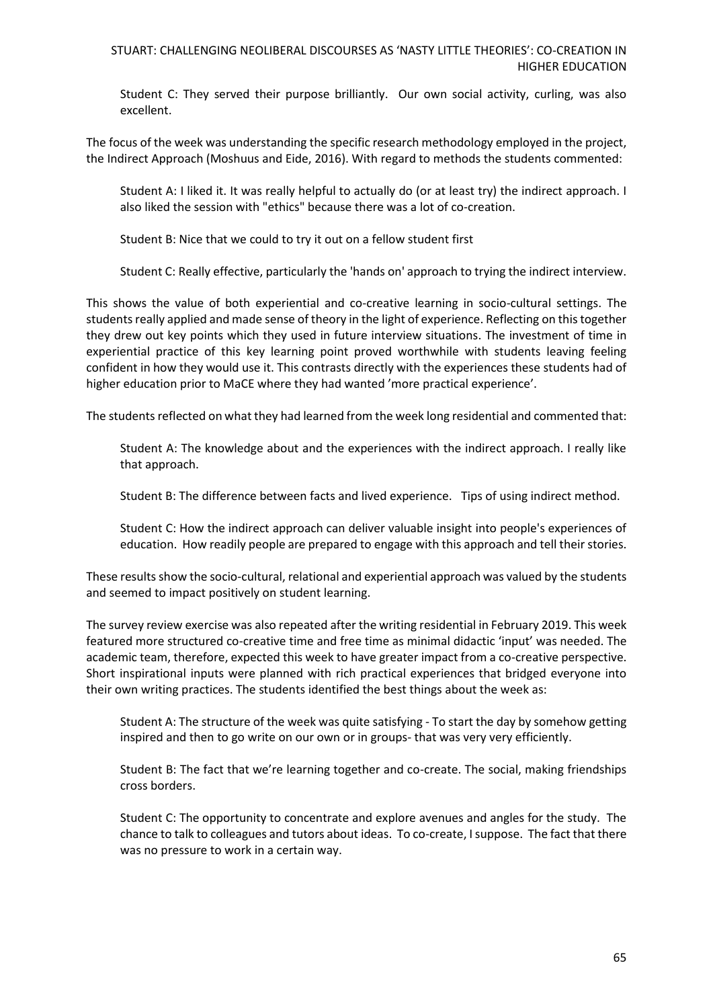Student C: They served their purpose brilliantly. Our own social activity, curling, was also excellent.

The focus of the week was understanding the specific research methodology employed in the project, the Indirect Approach (Moshuus and Eide, 2016). With regard to methods the students commented:

Student A: I liked it. It was really helpful to actually do (or at least try) the indirect approach. I also liked the session with "ethics" because there was a lot of co-creation.

Student B: Nice that we could to try it out on a fellow student first

Student C: Really effective, particularly the 'hands on' approach to trying the indirect interview.

This shows the value of both experiential and co-creative learning in socio-cultural settings. The students really applied and made sense of theory in the light of experience. Reflecting on this together they drew out key points which they used in future interview situations. The investment of time in experiential practice of this key learning point proved worthwhile with students leaving feeling confident in how they would use it. This contrasts directly with the experiences these students had of higher education prior to MaCE where they had wanted 'more practical experience'.

The students reflected on what they had learned from the week long residential and commented that:

Student A: The knowledge about and the experiences with the indirect approach. I really like that approach.

Student B: The difference between facts and lived experience. Tips of using indirect method.

Student C: How the indirect approach can deliver valuable insight into people's experiences of education. How readily people are prepared to engage with this approach and tell their stories.

These results show the socio-cultural, relational and experiential approach was valued by the students and seemed to impact positively on student learning.

The survey review exercise was also repeated after the writing residential in February 2019. This week featured more structured co-creative time and free time as minimal didactic 'input' was needed. The academic team, therefore, expected this week to have greater impact from a co-creative perspective. Short inspirational inputs were planned with rich practical experiences that bridged everyone into their own writing practices. The students identified the best things about the week as:

Student A: The structure of the week was quite satisfying - To start the day by somehow getting inspired and then to go write on our own or in groups- that was very very efficiently.

Student B: The fact that we're learning together and co-create. The social, making friendships cross borders.

Student C: The opportunity to concentrate and explore avenues and angles for the study. The chance to talk to colleagues and tutors about ideas. To co-create, I suppose. The fact that there was no pressure to work in a certain way.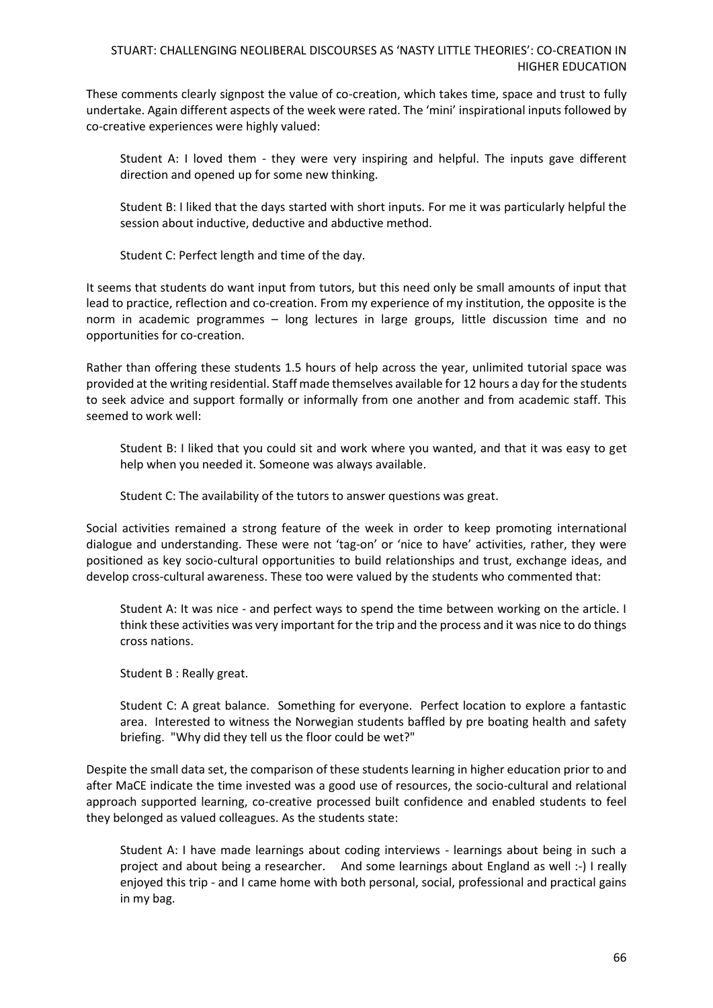These comments clearly signpost the value of co-creation, which takes time, space and trust to fully undertake. Again different aspects of the week were rated. The 'mini' inspirational inputs followed by co-creative experiences were highly valued:

Student A: I loved them - they were very inspiring and helpful. The inputs gave different direction and opened up for some new thinking.

Student B: I liked that the days started with short inputs. For me it was particularly helpful the session about inductive, deductive and abductive method.

Student C: Perfect length and time of the day.

It seems that students do want input from tutors, but this need only be small amounts of input that lead to practice, reflection and co-creation. From my experience of my institution, the opposite is the norm in academic programmes – long lectures in large groups, little discussion time and no opportunities for co-creation.

Rather than offering these students 1.5 hours of help across the year, unlimited tutorial space was provided at the writing residential. Staff made themselves available for 12 hours a day for the students to seek advice and support formally or informally from one another and from academic staff. This seemed to work well:

Student B: I liked that you could sit and work where you wanted, and that it was easy to get help when you needed it. Someone was always available.

Student C: The availability of the tutors to answer questions was great.

Social activities remained a strong feature of the week in order to keep promoting international dialogue and understanding. These were not 'tag-on' or 'nice to have' activities, rather, they were positioned as key socio-cultural opportunities to build relationships and trust, exchange ideas, and develop cross-cultural awareness. These too were valued by the students who commented that:

Student A: It was nice - and perfect ways to spend the time between working on the article. I think these activities was very important for the trip and the process and it was nice to do things cross nations.

Student B : Really great.

Student C: A great balance. Something for everyone. Perfect location to explore a fantastic area. Interested to witness the Norwegian students baffled by pre boating health and safety briefing. "Why did they tell us the floor could be wet?"

Despite the small data set, the comparison of these students learning in higher education prior to and after MaCE indicate the time invested was a good use of resources, the socio-cultural and relational approach supported learning, co-creative processed built confidence and enabled students to feel they belonged as valued colleagues. As the students state:

Student A: I have made learnings about coding interviews - learnings about being in such a project and about being a researcher. And some learnings about England as well :-) I really enjoyed this trip - and I came home with both personal, social, professional and practical gains in my bag.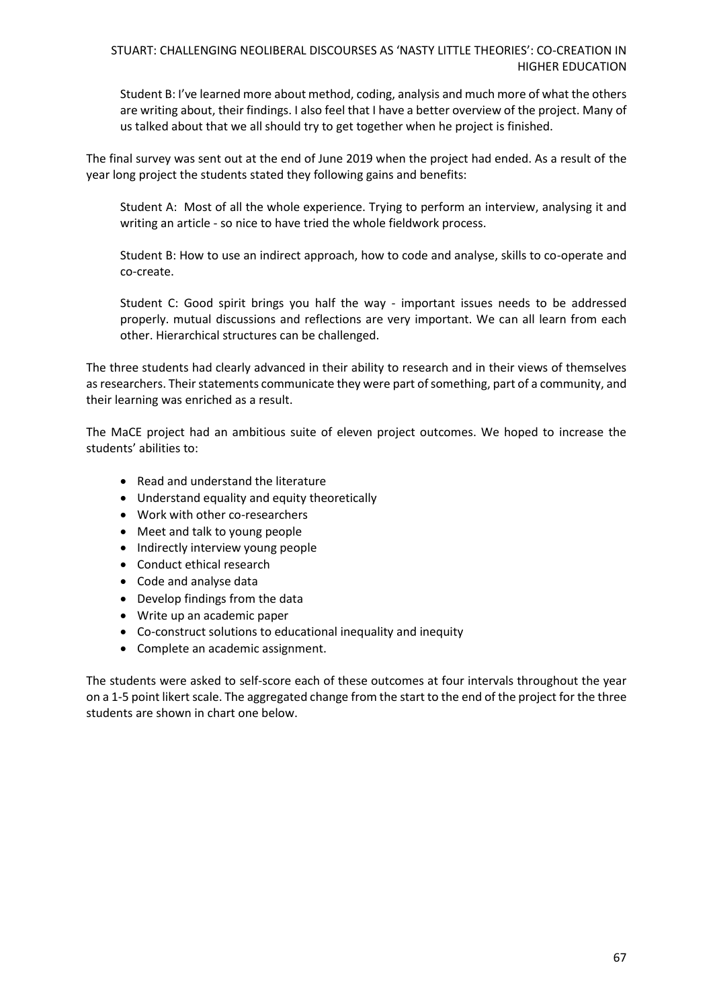Student B: I've learned more about method, coding, analysis and much more of what the others are writing about, their findings. I also feel that I have a better overview of the project. Many of us talked about that we all should try to get together when he project is finished.

The final survey was sent out at the end of June 2019 when the project had ended. As a result of the year long project the students stated they following gains and benefits:

Student A: Most of all the whole experience. Trying to perform an interview, analysing it and writing an article - so nice to have tried the whole fieldwork process.

Student B: How to use an indirect approach, how to code and analyse, skills to co-operate and co-create.

Student C: Good spirit brings you half the way - important issues needs to be addressed properly. mutual discussions and reflections are very important. We can all learn from each other. Hierarchical structures can be challenged.

The three students had clearly advanced in their ability to research and in their views of themselves as researchers. Their statements communicate they were part of something, part of a community, and their learning was enriched as a result.

The MaCE project had an ambitious suite of eleven project outcomes. We hoped to increase the students' abilities to:

- Read and understand the literature
- Understand equality and equity theoretically
- Work with other co-researchers
- Meet and talk to young people
- Indirectly interview young people
- Conduct ethical research
- Code and analyse data
- Develop findings from the data
- Write up an academic paper
- Co-construct solutions to educational inequality and inequity
- Complete an academic assignment.

The students were asked to self-score each of these outcomes at four intervals throughout the year on a 1-5 point likert scale. The aggregated change from the start to the end of the project for the three students are shown in chart one below.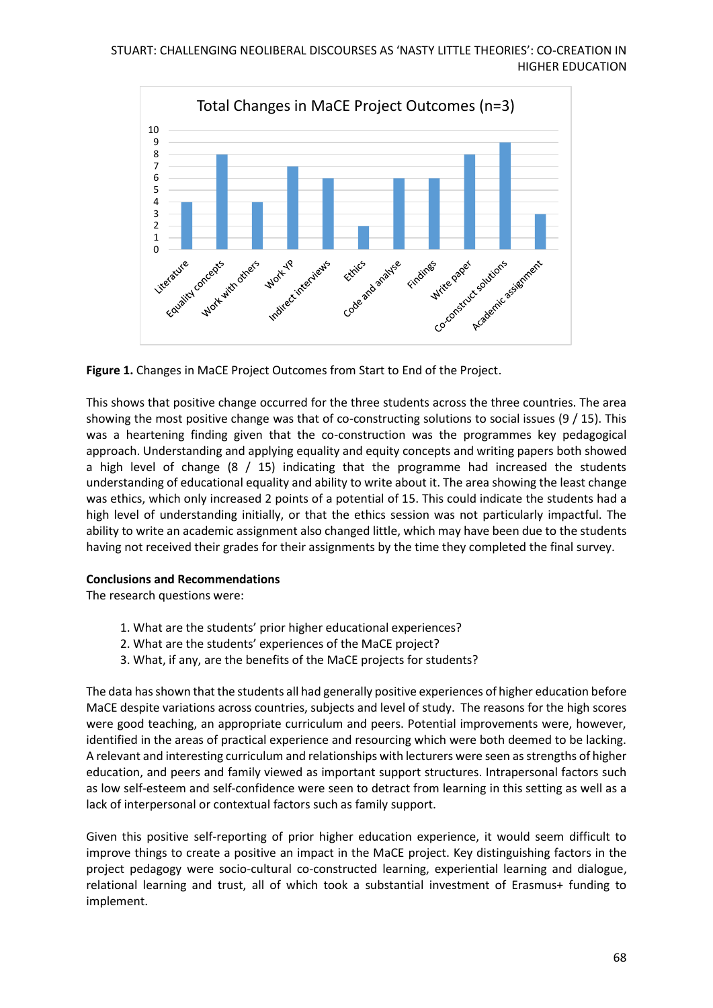

**Figure 1.** Changes in MaCE Project Outcomes from Start to End of the Project.

This shows that positive change occurred for the three students across the three countries. The area showing the most positive change was that of co-constructing solutions to social issues (9 / 15). This was a heartening finding given that the co-construction was the programmes key pedagogical approach. Understanding and applying equality and equity concepts and writing papers both showed a high level of change  $(8 / 15)$  indicating that the programme had increased the students understanding of educational equality and ability to write about it. The area showing the least change was ethics, which only increased 2 points of a potential of 15. This could indicate the students had a high level of understanding initially, or that the ethics session was not particularly impactful. The ability to write an academic assignment also changed little, which may have been due to the students having not received their grades for their assignments by the time they completed the final survey.

# **Conclusions and Recommendations**

The research questions were:

- 1. What are the students' prior higher educational experiences?
- 2. What are the students' experiences of the MaCE project?
- 3. What, if any, are the benefits of the MaCE projects for students?

The data has shown that the students all had generally positive experiences of higher education before MaCE despite variations across countries, subjects and level of study. The reasons for the high scores were good teaching, an appropriate curriculum and peers. Potential improvements were, however, identified in the areas of practical experience and resourcing which were both deemed to be lacking. A relevant and interesting curriculum and relationships with lecturers were seen as strengths of higher education, and peers and family viewed as important support structures. Intrapersonal factors such as low self-esteem and self-confidence were seen to detract from learning in this setting as well as a lack of interpersonal or contextual factors such as family support.

Given this positive self-reporting of prior higher education experience, it would seem difficult to improve things to create a positive an impact in the MaCE project. Key distinguishing factors in the project pedagogy were socio-cultural co-constructed learning, experiential learning and dialogue, relational learning and trust, all of which took a substantial investment of Erasmus+ funding to implement.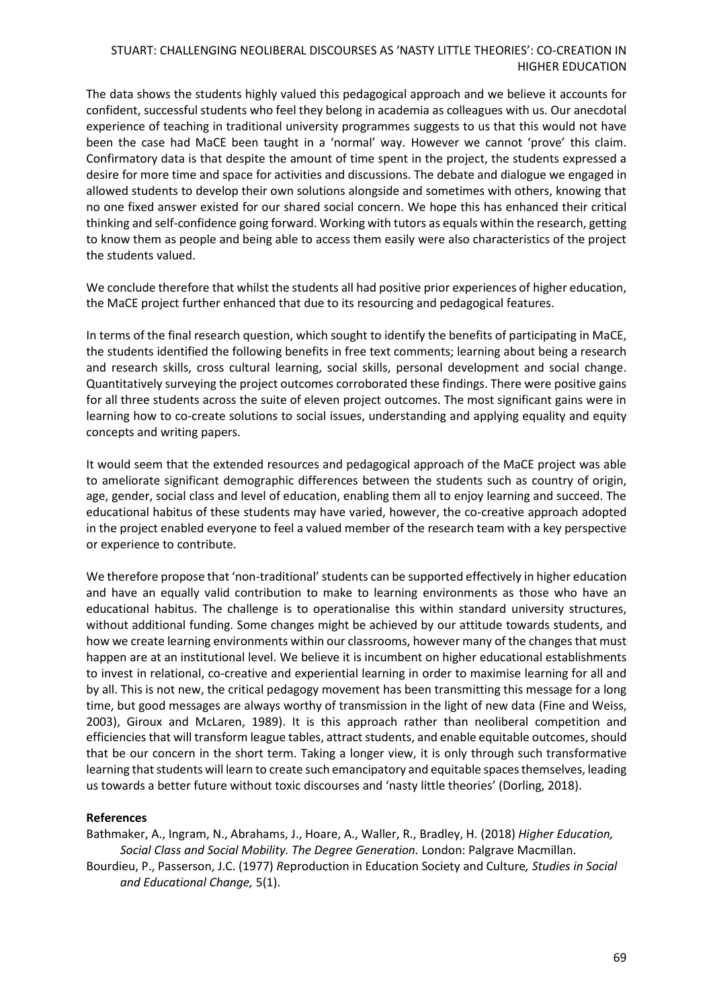The data shows the students highly valued this pedagogical approach and we believe it accounts for confident, successful students who feel they belong in academia as colleagues with us. Our anecdotal experience of teaching in traditional university programmes suggests to us that this would not have been the case had MaCE been taught in a 'normal' way. However we cannot 'prove' this claim. Confirmatory data is that despite the amount of time spent in the project, the students expressed a desire for more time and space for activities and discussions. The debate and dialogue we engaged in allowed students to develop their own solutions alongside and sometimes with others, knowing that no one fixed answer existed for our shared social concern. We hope this has enhanced their critical thinking and self-confidence going forward. Working with tutors as equals within the research, getting to know them as people and being able to access them easily were also characteristics of the project the students valued.

We conclude therefore that whilst the students all had positive prior experiences of higher education, the MaCE project further enhanced that due to its resourcing and pedagogical features.

In terms of the final research question, which sought to identify the benefits of participating in MaCE, the students identified the following benefits in free text comments; learning about being a research and research skills, cross cultural learning, social skills, personal development and social change. Quantitatively surveying the project outcomes corroborated these findings. There were positive gains for all three students across the suite of eleven project outcomes. The most significant gains were in learning how to co-create solutions to social issues, understanding and applying equality and equity concepts and writing papers.

It would seem that the extended resources and pedagogical approach of the MaCE project was able to ameliorate significant demographic differences between the students such as country of origin, age, gender, social class and level of education, enabling them all to enjoy learning and succeed. The educational habitus of these students may have varied, however, the co-creative approach adopted in the project enabled everyone to feel a valued member of the research team with a key perspective or experience to contribute.

We therefore propose that 'non-traditional' students can be supported effectively in higher education and have an equally valid contribution to make to learning environments as those who have an educational habitus. The challenge is to operationalise this within standard university structures, without additional funding. Some changes might be achieved by our attitude towards students, and how we create learning environments within our classrooms, however many of the changes that must happen are at an institutional level. We believe it is incumbent on higher educational establishments to invest in relational, co-creative and experiential learning in order to maximise learning for all and by all. This is not new, the critical pedagogy movement has been transmitting this message for a long time, but good messages are always worthy of transmission in the light of new data (Fine and Weiss, 2003), Giroux and McLaren, 1989). It is this approach rather than neoliberal competition and efficiencies that will transform league tables, attract students, and enable equitable outcomes, should that be our concern in the short term. Taking a longer view, it is only through such transformative learning that students will learn to create such emancipatory and equitable spaces themselves, leading us towards a better future without toxic discourses and 'nasty little theories' (Dorling, 2018).

#### **References**

Bathmaker, A., Ingram, N., Abrahams, J., Hoare, A., Waller, R., Bradley, H. (2018) *Higher Education, Social Class and Social Mobility. The Degree Generation.* London: Palgrave Macmillan.

Bourdieu, P., Passerson, J.C. (1977) *R*eproduction in Education Society and Culture*, Studies in Social and Educational Change,* 5(1).